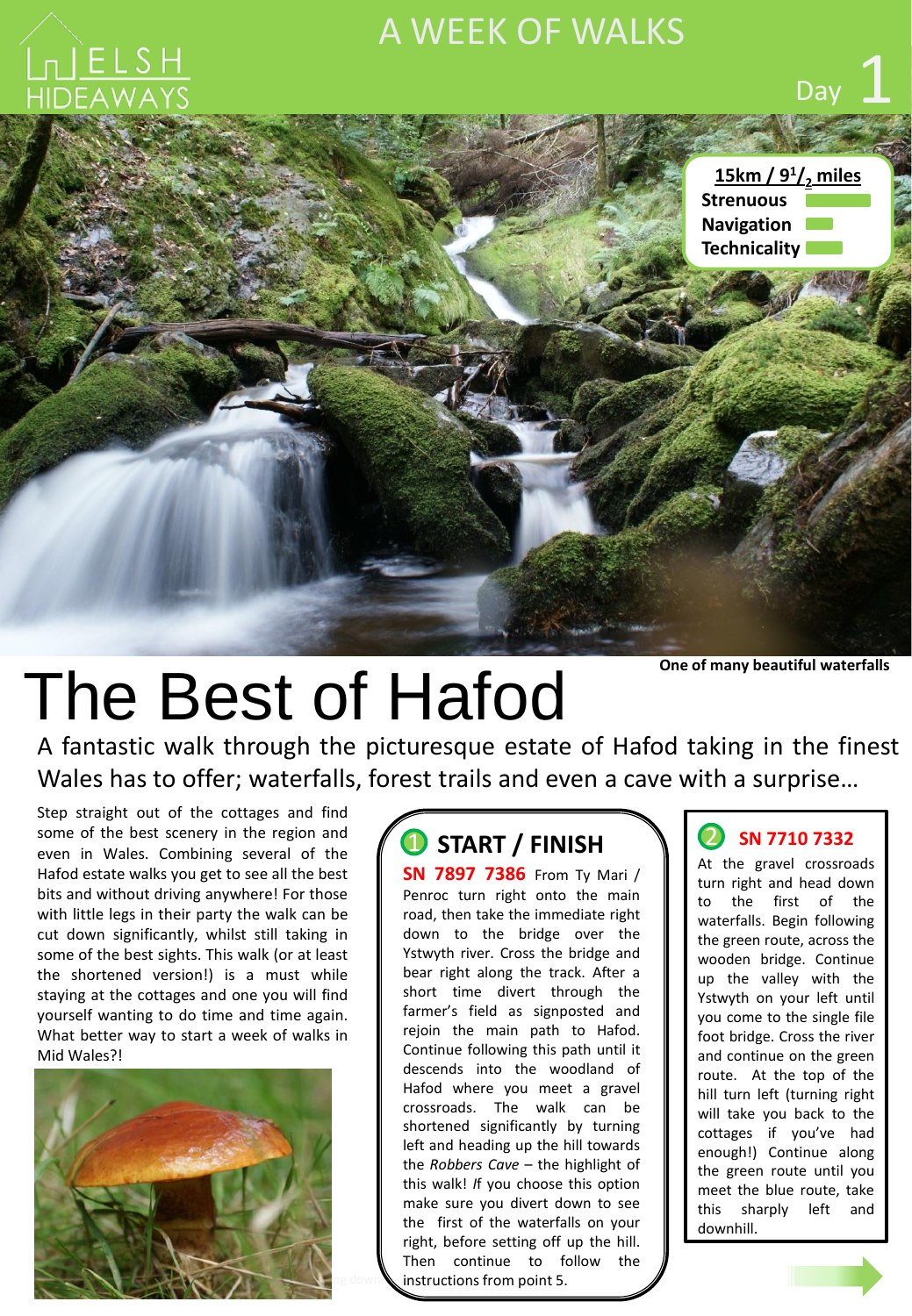## A WEEK OF WALKS



**One of many beautiful waterfalls**

Day

# The Best of Hafod

A fantastic walk through the picturesque estate of Hafod taking in the finest Wales has to offer; waterfalls, forest trails and even a cave with a surprise…

Step straight out of the cottages and find some of the best scenery in the region and even in Wales. Combining several of the Hafod estate walks you get to see all the best bits and without driving anywhere! For those with little legs in their party the walk can be cut down significantly, whilst still taking in some of the best sights. This walk (or at least the shortened version!) is a must while staying at the cottages and one you will find yourself wanting to do time and time again. What better way to start a week of walks in Mid Wales?!



## $\bullet$  START / FINISH  $\bullet$   $\bullet$

**SN 7897 7386** From Ty Mari / Penroc turn right onto the main road, then take the immediate right down to the bridge over the Ystwyth river. Cross the bridge and bear right along the track. After a short time divert through the farmer's field as signposted and rejoin the main path to Hafod. Continue following this path until it descends into the woodland of Hafod where you meet a gravel crossroads. The walk can be shortened significantly by turning left and heading up the hill towards the *Robbers Cave* – the highlight of this walk! *I*f you choose this option make sure you divert down to see the first of the waterfalls on your right, before setting off up the hill. Then continue to follow the instructions from point 5.

#### **SN <sup>7710</sup> <sup>7332</sup>**

At the gravel crossroads turn right and head down to the first of the waterfalls. Begin following the green route, across the wooden bridge. Continue up the valley with the Ystwyth on your left until you come to the single file foot bridge. Cross the river and continue on the green route. At the top of the hill turn left (turning right will take you back to the cottages if you've had enough!) Continue along the green route until you meet the blue route, take this sharply left and downhill.